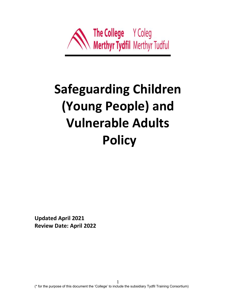

# **Safeguarding Children (Young People) and Vulnerable Adults Policy**

**Updated April 2021 Review Date: April 2022**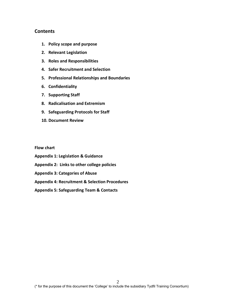# **Contents**

- **1. Policy scope and purpose**
- **2. Relevant Legislation**
- **3. Roles and Responsibilities**
- **4. Safer Recruitment and Selection**
- **5. Professional Relationships and Boundaries**
- **6. Confidentiality**
- **7. Supporting Staff**
- **8. Radicalisation and Extremism**
- **9. Safeguarding Protocols for Staff**
- **10. Document Review**

**Flow chart** 

- **Appendix 1: Legislation & Guidance**
- **Appendix 2: Links to other college policies**
- **Appendix 3: Categories of Abuse**
- **Appendix 4: Recruitment & Selection Procedures**
- **Appendix 5: Safeguarding Team & Contacts**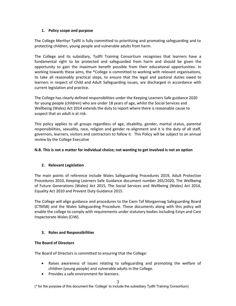## **1. Policy scope and purpose**

The College Merthyr Tydfil is fully committed to prioritizing and promoting safeguarding and to protecting children, young people and vulnerable adults from harm.

The College and its subsidiary, Tydfil Training Consortium recognises that learners have a fundamental right to be protected and safeguarded from harm and should be given the opportunity to gain the maximum benefit possible from their educational opportunities. In working towards these aims, the \*College is committed to working with relevant organisations, to take all reasonably practical steps, to ensure that the legal and pastoral duties owed to learners in respect of Child and Adult Safeguarding issues, are discharged in accordance with current legislation and practice.

The College has clearly defined responsibilities under the Keeping Learners Safe guidance 2020 for young people (children) who are under 18 years of age, whilst the Social Services and Wellbeing (Wales) Act 2014 extends the duty to report where there is reasonable cause to suspect that an adult is at risk.

This policy applies to all groups regardless of age, disability, gender, marital status, parental responsibilities, sexuality, race, religion and gender re-alignment and it is the duty of all staff, governors, learners, visitors and contractors to follow it. This Policy will be subject to an annual review by the College Executive

## **N.B. This is not a matter for individual choice; not wanting to get involved is not an option**

# **2. Relevant Legislation**

The main points of reference include Wales Safeguarding Procedures 2019, Adult Protection Procedures 2010, Keeping Learners Safe Guidance document number 265/2020, The Wellbeing of Future Generations (Wales) Act 2015, The Social Services and Wellbeing (Wales) Act 2014, Equality Act 2010 and Prevent Duty Guidance 2015.

The College will align guidance and procedures to the Cwm Taf Morgannwg Safeguarding Board (CTMSB) and the Wales Safeguarding Procedure. These documents along with this policy will enable the college to comply with requirements under statutory bodies including Estyn and Care Inspectorate Wales (CIW).

# **3. Roles and Responsibilities**

## **The Board of Directors**

The Board of Directors is committed to ensuring that the College:

- Raises awareness of issues relating to safeguarding and promoting the welfare of children (young people) and vulnerable adults in the College.
- Provides a safe environment for learners.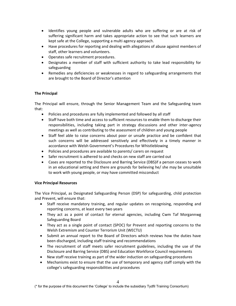- Identifies young people and vulnerable adults who are suffering or are at risk of suffering significant harm and takes appropriate action to see that such learners are kept safe at the College, supporting a multi agency approach.
- Have procedures for reporting and dealing with allegations of abuse against members of staff, other learners and volunteers.
- Operates safe recruitment procedures.
- Designates a member of staff with sufficient authority to take lead responsibility for safeguarding
- Remedies any deficiencies or weaknesses in regard to safeguarding arrangements that are brought to the Board of Director's attention

## **The Principal**

The Principal will ensure, through the Senior Management Team and the Safeguarding team that:

- Policies and procedures are fully implemented and followed by all staff
- Staff have both time and access to sufficient resources to enable them to discharge their responsibilities, including taking part in strategy discussions and other inter-agency meetings as well as contributing to the assessment of children and young people
- Staff feel able to raise concerns about poor or unsafe practice and be confident that such concerns will be addressed sensitively and effectively in a timely manner in accordance with Welsh Government's Procedures for Whistleblowing
- Policies and procedures are available to parents/ carers on request
- Safer recruitment is adhered to and checks on new staff are carried out
- Cases are reported to the Disclosure and Barring Service (DBS)if a person ceases to work in an educational setting and there are grounds for believing he/ she may be unsuitable to work with young people, or may have committed misconduct

## **Vice Principal Resources**

The Vice Principal, as Designated Safeguarding Person (DSP) for safeguarding, child protection and Prevent, will ensure that:

- Staff receive mandatory training, and regular updates on recognising, responding and reporting concerns, at least every two years
- They act as a point of contact for eternal agencies, including Cwm Taf Morgannwg Safeguarding Board
- They act as a single point of contact (SPOC) for Prevent and reporting concerns to the Welsh Extremism and Counter Terrorism Unit (WECTU)
- Submit an annual report to the Board of Directors which reviews how the duties have been discharged, including staff training and recommendations
- The recruitment of staff meets safer recruitment guidelines, including the use of the Disclosure and Barring Service (DBS) and Education Workforce Council requirements
- New staff receive training as part of the wider induction on safeguarding procedures
- Mechanisms exist to ensure that the use of temporary and agency staff comply with the college's safeguarding responsibilities and procedures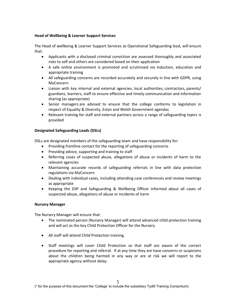## **Head of Wellbeing & Learner Support Services**

The Head of wellbeing & Learner Support Services as Operational Safeguarding lead, will ensure that:

- Applicants with a disclosed criminal conviction are assessed thoroughly and associated risks to self and others are considered based on their application
- A safe online environment is promoted and scrutinised via induction, education and appropriate training
- All safeguarding concerns are recorded accurately and securely in line with GDPR, using MyConcern
- Liaison with key internal and external agencies, local authorities, contractors, parents/ guardians, learners, staff to ensure effective and timely communication and information sharing (as appropriate)
- Senior managers are advised to ensure that the college conforms to legislation in respect of Equality & Diversity, Estyn and Welsh Government agendas
- Relevant training for staff and external partners across a range of safeguarding topics is provided

## **Designated Safeguarding Leads (DSLs)**

DSLs are designated members of the safeguarding team and have responsibility for:

- Providing frontline contact for the reporting of safeguarding concerns
- Providing advice, supporting and training to staff
- Referring cases of suspected abuse, allegations of abuse or incidents of harm to the relevant agencies
- Maintaining accurate records of safeguarding referrals in line with data protection regulations via MyConcern
- Dealing with individual cases, including attending case conferences and review meetings as appropriate
- Keeping the DSP and Safeguarding & Wellbeing Officer informed about all cases of suspected abuse, allegations of abuse or incidents of harm

## **Nursery Manager**

The Nursery Manager will ensure that:

- The nominated person (Nursery Manager) will attend advanced child protection training and will act as the key Child Protection Officer for the Nursery
- All staff will attend Child Protection training.
- Staff meetings will cover Child Protection so that staff are aware of the correct procedure for reporting and referral. If at any time they are have concerns or suspicions about the children being harmed in any way or are at risk we will report to the appropriate agency without delay.

<sup>(\*</sup> for the purpose of this document the 'College' to include the subsidiary Tydfil Training Consortium)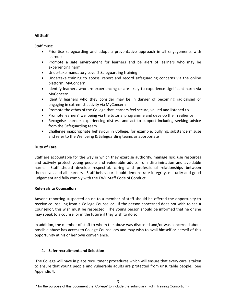## **All Staff**

Staff must:

- Prioritise safeguarding and adopt a preventative approach in all engagements with learners
- Promote a safe environment for learners and be alert of learners who may be experiencing harm
- Undertake mandatory Level 2 Safeguarding training
- Undertake training to access, report and record safeguarding concerns via the online platform, MyConcern
- Identify learners who are experiencing or are likely to experience significant harm via MyConcern
- Identify learners who they consider may be in danger of becoming radicalised or engaging in extremist activity via MyConcern
- Promote the ethos of the College that learners feel secure, valued and listened to
- Promote learners' wellbeing via the tutorial programme and develop their resilience
- Recognise learners experiencing distress and act to support including seeking advice from the Safeguarding team
- Challenge inappropriate behaviour in College, for example, bullying, substance misuse and refer to the Wellbeing & Safeguarding teams as appropriate

## **Duty of Care**

Staff are accountable for the way in which they exercise authority, manage risk, use resources and actively protect young people and vulnerable adults from discrimination and avoidable harm. Staff should develop respectful, caring and professional relationships between themselves and all learners. Staff behaviour should demonstrate integrity, maturity and good judgement and fully comply with the EWC Staff Code of Conduct.

## **Referrals to Counsellors**

Anyone reporting suspected abuse to a member of staff should be offered the opportunity to receive counselling from a College Counsellor. If the person concerned does not wish to see a Counsellor, this wish must be respected. The young person should be informed that he or she may speak to a counsellor in the future if they wish to do so.

In addition, the member of staff to whom the abuse was disclosed and/or was concerned about possible abuse has access to College Counsellors and may wish to avail himself or herself of this opportunity at his or her own convenience.

# **4. Safer recruitment and Selection**

The College will have in place recruitment procedures which will ensure that every care is taken to ensure that young people and vulnerable adults are protected from unsuitable people. See Appendix 4.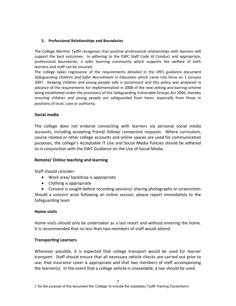## **5. Professional Relationships and Boundaries**

The College Merthyr Tydfil recognises that positive professional relationships with learners will support the best outcomes. In adhering to the EWC Staff Code of Conduct and appropriate, professional boundaries, a safer learning community which supports the welfare of both learners and staff can be ensured.

The college takes cognisance of the requirements detailed in the DfES guidance document *Safeguarding Children and Safer Recruitment in Education* which came into force on 1 January 2007. Keeping children and young people safe is paramount and this policy was prepared in advance of the requirements for implementation in 2008 of the new vetting and barring scheme being established under the provisions of the Safeguarding Vulnerable Groups Act 2006, thereby ensuring children and young people are safeguarded from harm, especially from those in positions of trust, care or authority.

# **Social media**

The college does not endorse connecting with learners via personal social media accounts, including accepting friend/ follow/ connection requests. Where curriculum, course related or other college accounts and online spaces are used for communication purposes, the college's Acceptable IT Use and Social Media Policies should be adhered to in conjunction with the EWC Guidance on the Use of Social Media.

# **Remote/ Online teaching and learning**

Staff should consider:

- Work area/ backdrop is appropriate
- Clothing is appropriate
- Consent is sought before recording sessions/ sharing photographs or screenshots

Should a concern arise following an online session, please report immediately to the Safeguarding team

# **Home visits**

Home visits should only be undertaken as a last resort and without entering the home. It is recommended that no less than two members of staff would attend.

# **Transporting Learners**

Wherever possible, it is expected that college transport would be used for learner transport. Staff should ensure that all necessary vehicle checks are carried out prior to use; that insurance cover is appropriate and that two members of staff accompanying the learner(s). In the event that a college vehicle is unavailable, a taxi should be used.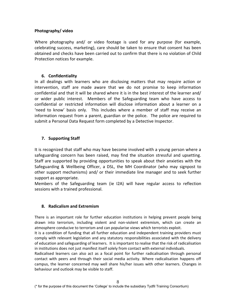# **Photography/ video**

Where photography and/ or video footage is used for any purpose (for example, celebrating success, marketing), care should be taken to ensure that consent has been obtained and checks have been carried out to confirm that there is no violation of Child Protection notices for example.

# **6. Confidentiality**

In all dealings with learners who are disclosing matters that may require action or intervention, staff are made aware that we do not promise to keep information confidential and that it will be shared where it is in the best interest of the learner and/ or wider public interest. Members of the Safeguarding team who have access to confidential or restricted information will disclose information about a learner on a 'need to know' basis only. This includes where a member of staff may receive an information request from a parent, guardian or the police. The police are required to submit a Personal Data Request form completed by a Detective Inspector.

# **7. Supporting Staff**

It is recognized that staff who may have become involved with a young person where a safeguarding concern has been raised, may find the situation stressful and upsetting. Staff are supported by providing opportunities to speak about their anxieties with the Safeguarding & Wellbeing Officer, a DSL, the MH Coordinator (who may signpost to other support mechanisms) and/ or their immediate line manager and to seek further support as appropriate.

Members of the Safeguarding team (ie I2A) will have regular access to reflection sessions with a trained professional.

# **8. Radicalism and Extremism**

There is an important role for further education institutions in helping prevent people being drawn into terrorism, including violent and non-violent extremism, which can create an atmosphere conducive to terrorism and can popularise views which terrorists exploit.

It is a condition of funding that all further education and independent training providers must comply with relevant legislation and any statutory responsibilities associated with the delivery of education and safeguarding of learners. It is important to realise that the risk of radicalisation in institutions does not just manifest itself solely from contact with external individuals.

Radicalised learners can also act as a focal point for further radicalisation through personal contact with peers and through their social media activity. Where radicalisation happens off campus, the learner concerned may well share his/her issues with other learners. Changes in behaviour and outlook may be visible to staff.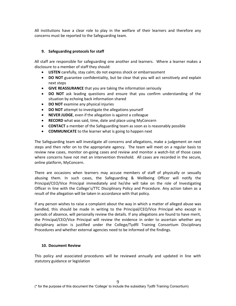All institutions have a clear role to play in the welfare of their learners and therefore any concerns must be reported to the Safeguarding team.

## **9. Safeguarding protocols for staff**

All staff are responsible for safeguarding one another and learners. Where a learner makes a disclosure to a member of staff they should:

- **LISTEN** carefully, stay calm; do not express shock or embarrassment
- **DO NOT** guarantee confidentiality, but be clear that you will act sensitively and explain next steps
- **GIVE REASSURANCE** that you are taking the information seriously
- **DO NOT** ask leading questions and ensure that you confirm understanding of the situation by echoing back information shared
- **DO NOT** examine any physical injuries
- **DO NOT** attempt to investigate the allegations yourself
- **NEVER JUDGE**, even if the allegation is against a colleague
- **RECORD** what was said, time, date and place using MyConcern
- **CONTACT** a member of the Safeguarding team as soon as is reasonably possible
- **COMMUNICATE** to the learner what is going to happen next

The Safeguarding team will investigate all concerns and allegations, make a judgement on next steps and then refer on to the appropriate agency. The team will meet on a regular basis to review new cases, monitor on-going cases and review and monitor a watch-list of those cases where concerns have not met an intervention threshold. All cases are recorded in the secure, online platform, MyConcern.

There are occasions when learners may accuse members of staff of physically or sexually abusing them. In such cases, the Safeguarding & Wellbeing Officer will notify the Principal/CEO/Vice Principal immediately and he/she will take on the role of Investigating Officer in line with the College's/TTC Disciplinary Policy and Procedure. Any action taken as a result of the allegation will be taken in accordance with that policy.

If any person wishes to raise a complaint about the way in which a matter of alleged abuse was handled, this should be made in writing to the Principal/CEO/Vice Principal who except in periods of absence, will personally review the details. If any allegations are found to have merit, the Principal/CEO/Vice Principal will review the evidence in order to ascertain whether any disciplinary action is justified under the College/Tydfil Training Consortium Disciplinary Procedures and whether external agencies need to be informed of the findings.

## **10. Document Review**

This policy and associated procedures will be reviewed annually and updated in line with statutory guidance or legislation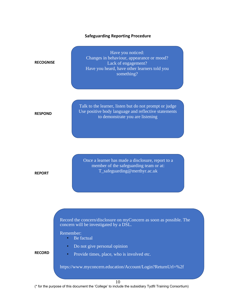## **Safeguarding Reporting Procedure**

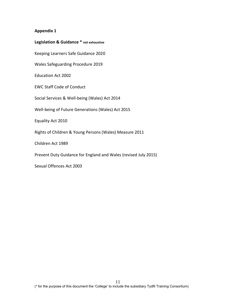| Legislation & Guidance * not exhaustive                         |
|-----------------------------------------------------------------|
| Keeping Learners Safe Guidance 2020                             |
| Wales Safeguarding Procedure 2019                               |
| <b>Education Act 2002</b>                                       |
| <b>EWC Staff Code of Conduct</b>                                |
| Social Services & Well-being (Wales) Act 2014                   |
| Well-being of Future Generations (Wales) Act 2015               |
| Equality Act 2010                                               |
| Rights of Children & Young Persons (Wales) Measure 2011         |
| Children Act 1989                                               |
| Prevent Duty Guidance for England and Wales (revised July 2015) |

Sexual Offences Act 2003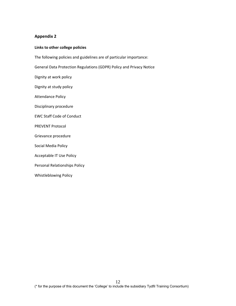## **Links to other college policies**

The following policies and guidelines are of particular importance:

General Data Protection Regulations (GDPR) Policy and Privacy Notice

Dignity at work policy

Dignity at study policy

Attendance Policy

Disciplinary procedure

EWC Staff Code of Conduct

PREVENT Protocol

Grievance procedure

Social Media Policy

Acceptable IT Use Policy

Personal Relationships Policy

Whistleblowing Policy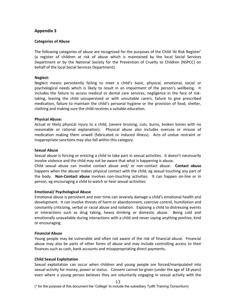## **Categories of Abuse**

The following categories of abuse are recognised for the purposes of the Child 'At Risk Register' (a register of children at risk of abuse which is maintained by the local Social Services Department or by the National Society for the Prevention of Cruelty to Children (NSPCC) on behalf of the local Social Services Department).

## **Neglect:**

Neglect means persistently failing to meet a child's basic, physical, emotional, social or psychological needs which is likely to result in an impairment of the person's wellbeing. It includes the failure to access medical or dental care services, negligence in the face of risktaking, leaving the child unsupervised or with unsuitable carers, failure to give prescribed medication, failure to maintain the child's personal hygiene or the provision of food, shelter, clothing and making sure the child receives a suitable education.

## **Physical Abuse:**

Actual or likely physical injury to a child, (severe bruising, cuts, burns, broken bones with no reasonable or rational explanation). Physical abuse also includes overuse or misuse of medication making them unwell (fabricated or induced illness). Acts of undue restraint or inappropriate sanctions may also fall within this category.

## **Sexual Abuse**

Sexual abuse is forcing or enticing a child to take part in sexual activities. It doesn't necessarily involve violence and the child may not be aware that what is happening is abuse.

Child sexual abuse can involve contact abuse and/ or non-contact abuse. **Contact abuse** happens when the abuser makes physical contact with the child, eg sexual touching any part of the body. **Non-Contact abuse** involves non-touching activities. It can happen on-line or in person, eg encouraging a child to watch or hear sexual acitivities

#### **Emotional/ Psychological Abuse**

Emotional abuse is persistent and over time can severely damage a child's emotional health and development. It can involve threats of harm or abandonment, coercive control, humiliation and constantly criticizing, verbal or racial abuse and isolation. Exposing a child to distressing events or interactions such as drug taking, heavy drinking or domestic abuse. Being cold and emotionally unavailable during interactions with a child and never saying anything positive, kind or encouraging.

#### **Financial Abuse**

Young people may be vulnerable and often not aware of the risk of financial abuse. Financial abuse may also be parts of other forms of abuse and may include controlling access to their finances such as cash, bank accounts and misappropriating direct payments**.**

## **Child Sexual Exploitation**

Sexual exploitation can occur when children and young people are forced/manipulated into sexual activity for money, power or status. Consent cannot be given (under the age of 18 years) even where a young person believes they are voluntarily engaging in sexual activity with the

13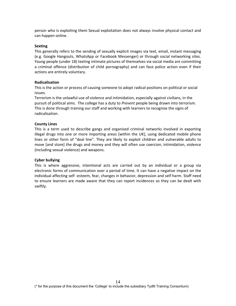person who is exploiting them Sexual exploitation does not always involve physical contact and can happen online.

#### **Sexting**

This generally refers to the sending of sexually explicit images via text, email, instant messaging (e.g. Google Hangouts, WhatsApp or Facebook Messenger) or through social networking sites. Young people (under 18) texting intimate pictures of themselves via social media are committing a criminal offence (distribution of child pornography) and can face police action even if their actions are entirely voluntary.

#### **Radicalisation**

This is the action or process of causing someone to adopt radical positions on political or social issues.

Terrorism is the unlawful use of violence and intimidation, especially against civilians, in the pursuit of political aims. The college has a duty to *Prevent* people being drawn into terrorism. This is done through training our staff and working with learners to recognise the signs of radicalisation.

#### **County Lines**

This is a term used to describe gangs and organised criminal networks involved in exporting illegal drugs into one or more importing areas [within the UK], using dedicated mobile phone lines or other form of "deal line". They are likely to exploit children and vulnerable adults to move [and store] the drugs and money and they will often use coercion, intimidation, violence (including sexual violence) and weapons.

#### **Cyber bullying**

This is where aggressive, intentional acts are carried out by an individual or a group via electronic forms of communication over a period of time. It can have a negative impact on the individual affecting self -esteem, fear, changes in behavior, depression and self harm. Staff need to ensure learners are made aware that they can report incidences so they can be dealt with swiftly.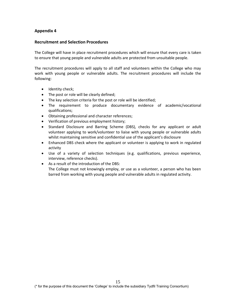## **Recruitment and Selection Procedures**

The College will have in place recruitment procedures which will ensure that every care is taken to ensure that young people and vulnerable adults are protected from unsuitable people.

The recruitment procedures will apply to all staff and volunteers within the College who may work with young people or vulnerable adults. The recruitment procedures will include the following:

- Identity check;
- The post or role will be clearly defined;
- The key selection criteria for the post or role will be identified;
- The requirement to produce documentary evidence of academic/vocational qualifications;
- Obtaining professional and character references;
- Verification of previous employment history;
- Standard Disclosure and Barring Scheme (DBS), checks for any applicant or adult volunteer applying to work/volunteer to liaise with young people or vulnerable adults whilst maintaining sensitive and confidential use of the applicant's disclosure
- Enhanced DBS check where the applicant or volunteer is applying to work in regulated activity
- Use of a variety of selection techniques (e.g. qualifications, previous experience, interview, reference checks).
- As a result of the introduction of the DBS: The College must not knowingly employ, or use as a volunteer, a person who has been barred from working with young people and vulnerable adults in regulated activity.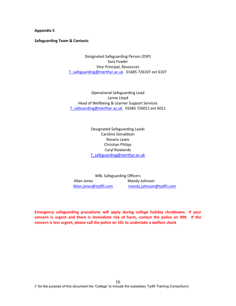**Safeguarding Team & Contacts**

Designated Safeguarding Person (DSP) Sara Fowler Vice Principal, Resources [T\\_safeguarding@merthyr.ac.uk](mailto:T_safeguarding@merthyr.ac.uk) 01685 726107 ext 6107

Operational Safeguarding Lead Lynne Lloyd Head of Wellbeing & Learner Support Services [T\\_safeuarding@merthyr.ac.uk](mailto:T_safeuarding@merthyr.ac.uk) 01685 726011 ext 6011

> Designated Safeguarding Leads Caroline Donaldson Rosana Lewis Christian Philips Caryl Rowlands [T\\_safeguarding@merthyr.ac.uk](mailto:T_safeguarding@merthyr.ac.uk)

WBL Safeguarding Officers Allan Jones Mandy Johnson [Allan.jones@tydfil.com](mailto:Allan.jones@tydfil.com) [mandy.johnson@tydfil.com](mailto:mandy.johnson@tydfil.com)

**Emergency safeguarding procedures will apply during college holiday shutdowns. If your concern is urgent and there is immediate risk of harm, contact the police on 999. If the concern is less urgent, please call the police on 101 to undertake a welfare check**